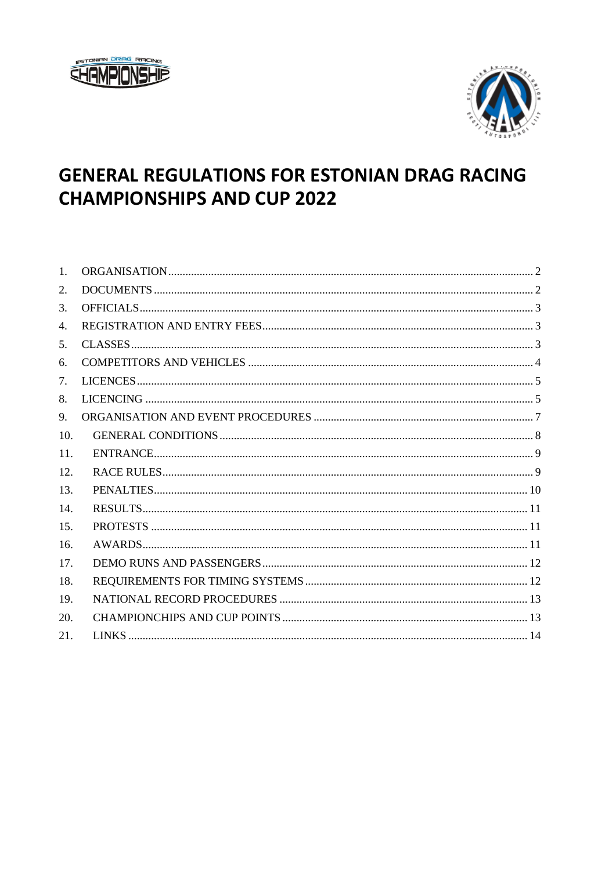



# **GENERAL REGULATIONS FOR ESTONIAN DRAG RACING CHAMPIONSHIPS AND CUP 2022**

| $\mathbf{1}$ . |  |
|----------------|--|
| 2.             |  |
| 3.             |  |
| 4.             |  |
| 5.             |  |
| 6.             |  |
| 7.             |  |
| 8.             |  |
| 9.             |  |
| 10.            |  |
| 11.            |  |
| 12.            |  |
| 13.            |  |
| 14.            |  |
| 15.            |  |
| 16.            |  |
| 17.            |  |
| 18.            |  |
| 19.            |  |
| 20.            |  |
| 21.            |  |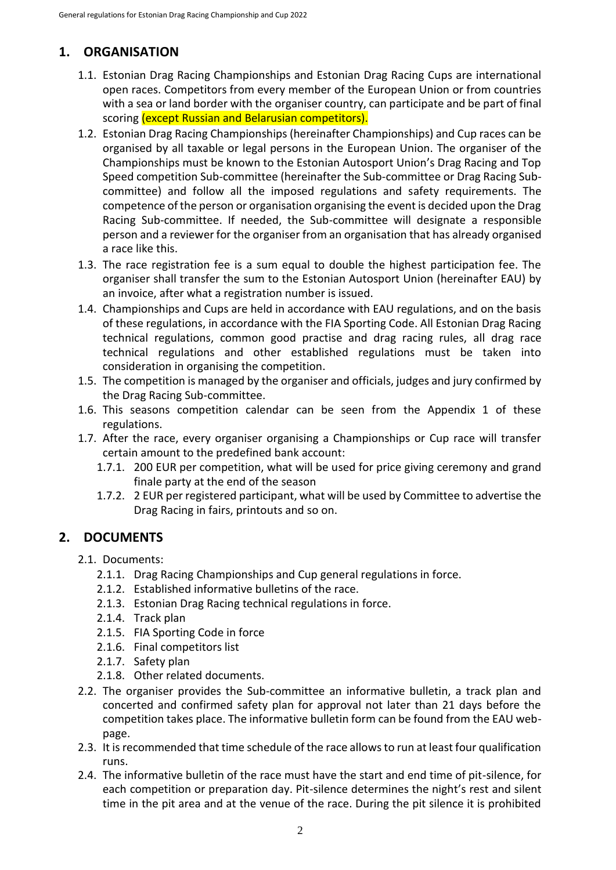# <span id="page-1-0"></span>**1. ORGANISATION**

- 1.1. Estonian Drag Racing Championships and Estonian Drag Racing Cups are international open races. Competitors from every member of the European Union or from countries with a sea or land border with the organiser country, can participate and be part of final scoring (except Russian and Belarusian competitors).
- 1.2. Estonian Drag Racing Championships (hereinafter Championships) and Cup races can be organised by all taxable or legal persons in the European Union. The organiser of the Championships must be known to the Estonian Autosport Union's Drag Racing and Top Speed competition Sub-committee (hereinafter the Sub-committee or Drag Racing Subcommittee) and follow all the imposed regulations and safety requirements. The competence of the person or organisation organising the event is decided upon the Drag Racing Sub-committee. If needed, the Sub-committee will designate a responsible person and a reviewer for the organiser from an organisation that has already organised a race like this.
- 1.3. The race registration fee is a sum equal to double the highest participation fee. The organiser shall transfer the sum to the Estonian Autosport Union (hereinafter EAU) by an invoice, after what a registration number is issued.
- 1.4. Championships and Cups are held in accordance with EAU regulations, and on the basis of these regulations, in accordance with the FIA Sporting Code. All Estonian Drag Racing technical regulations, common good practise and drag racing rules, all drag race technical regulations and other established regulations must be taken into consideration in organising the competition.
- 1.5. The competition is managed by the organiser and officials, judges and jury confirmed by the Drag Racing Sub-committee.
- 1.6. This seasons competition calendar can be seen from the Appendix 1 of these regulations.
- 1.7. After the race, every organiser organising a Championships or Cup race will transfer certain amount to the predefined bank account:
	- 1.7.1. 200 EUR per competition, what will be used for price giving ceremony and grand finale party at the end of the season
	- 1.7.2. 2 EUR per registered participant, what will be used by Committee to advertise the Drag Racing in fairs, printouts and so on.

## <span id="page-1-1"></span>**2. DOCUMENTS**

- 2.1. Documents:
	- 2.1.1. Drag Racing Championships and Cup general regulations in force.
	- 2.1.2. Established informative bulletins of the race.
	- 2.1.3. Estonian Drag Racing technical regulations in force.
	- 2.1.4. Track plan
	- 2.1.5. FIA Sporting Code in force
	- 2.1.6. Final competitors list
	- 2.1.7. Safety plan
	- 2.1.8. Other related documents.
- 2.2. The organiser provides the Sub-committee an informative bulletin, a track plan and concerted and confirmed safety plan for approval not later than 21 days before the competition takes place. The informative bulletin form can be found from the EAU webpage.
- 2.3. It is recommended that time schedule of the race allows to run at least four qualification runs.
- 2.4. The informative bulletin of the race must have the start and end time of pit-silence, for each competition or preparation day. Pit-silence determines the night's rest and silent time in the pit area and at the venue of the race. During the pit silence it is prohibited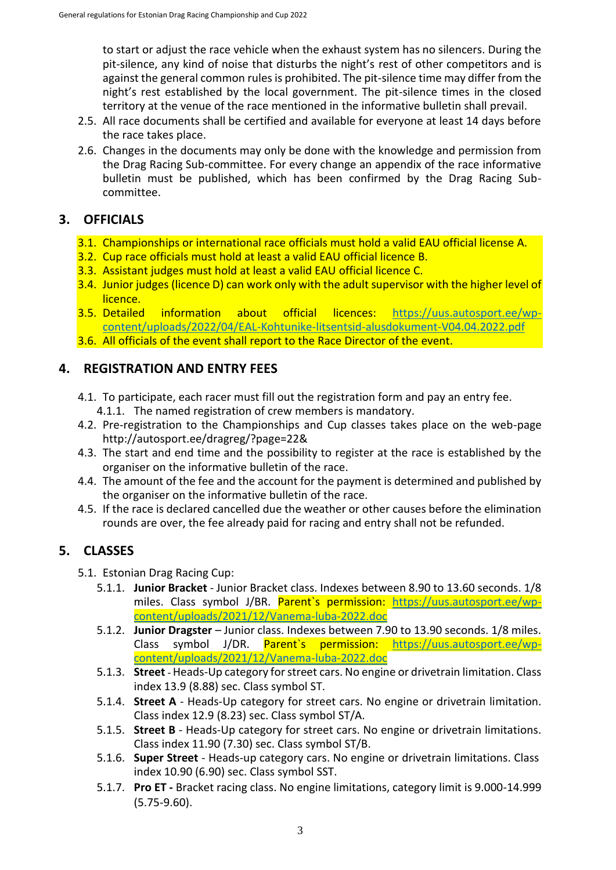to start or adjust the race vehicle when the exhaust system has no silencers. During the pit-silence, any kind of noise that disturbs the night's rest of other competitors and is against the general common rules is prohibited. The pit-silence time may differ from the night's rest established by the local government. The pit-silence times in the closed territory at the venue of the race mentioned in the informative bulletin shall prevail.

- 2.5. All race documents shall be certified and available for everyone at least 14 days before the race takes place.
- 2.6. Changes in the documents may only be done with the knowledge and permission from the Drag Racing Sub-committee. For every change an appendix of the race informative bulletin must be published, which has been confirmed by the Drag Racing Subcommittee.

# <span id="page-2-0"></span>**3. OFFICIALS**

- 3.1. Championships or international race officials must hold a valid EAU official license A.
- 3.2. Cup race officials must hold at least a valid EAU official licence B.
- 3.3. Assistant judges must hold at least a valid EAU official licence C.
- 3.4. Junior judges (licence D) can work only with the adult supervisor with the higher level of licence.
- 3.5. Detailed information about official licences: [https://uus.autosport.ee/wp](https://uus.autosport.ee/wp-content/uploads/2022/04/EAL-Kohtunike-litsentsid-alusdokument-V04.04.2022.pdf)[content/uploads/2022/04/EAL-Kohtunike-litsentsid-alusdokument-V04.04.2022.pdf](https://uus.autosport.ee/wp-content/uploads/2022/04/EAL-Kohtunike-litsentsid-alusdokument-V04.04.2022.pdf)
- 3.6. All officials of the event shall report to the Race Director of the event.

## <span id="page-2-1"></span>**4. REGISTRATION AND ENTRY FEES**

- 4.1. To participate, each racer must fill out the registration form and pay an entry fee. 4.1.1. The named registration of crew members is mandatory.
- 4.2. Pre-registration to the Championships and Cup classes takes place on the web-page <http://autosport.ee/dragreg/?page=22&>
- 4.3. The start and end time and the possibility to register at the race is established by the organiser on the informative bulletin of the race.
- 4.4. The amount of the fee and the account for the payment is determined and published by the organiser on the informative bulletin of the race.
- 4.5. If the race is declared cancelled due the weather or other causes before the elimination rounds are over, the fee already paid for racing and entry shall not be refunded.

# <span id="page-2-2"></span>**5. CLASSES**

- 5.1. Estonian Drag Racing Cup:
	- 5.1.1. **Junior Bracket** Junior Bracket class. Indexes between 8.90 to 13.60 seconds. 1/8 miles. Class symbol J/BR. Parent`s permission: [https://uus.autosport.ee/wp](https://uus.autosport.ee/wp-content/uploads/2021/12/Vanema-luba-2022.doc)[content/uploads/2021/12/Vanema-luba-2022.doc](https://uus.autosport.ee/wp-content/uploads/2021/12/Vanema-luba-2022.doc)
	- 5.1.2. **Junior Dragster** Junior class. Indexes between 7.90 to 13.90 seconds. 1/8 miles. Class symbol J/DR. Parent`s permission: [https://uus.autosport.ee/wp](https://uus.autosport.ee/wp-content/uploads/2021/12/Vanema-luba-2022.doc)[content/uploads/2021/12/Vanema-luba-2022.doc](https://uus.autosport.ee/wp-content/uploads/2021/12/Vanema-luba-2022.doc)
	- 5.1.3. **Street**  Heads-Up category for street cars. No engine or drivetrain limitation. Class index 13.9 (8.88) sec. Class symbol ST.
	- 5.1.4. **Street A** Heads-Up category for street cars. No engine or drivetrain limitation. Class index 12.9 (8.23) sec. Class symbol ST/A.
	- 5.1.5. **Street B** Heads-Up category for street cars. No engine or drivetrain limitations. Class index 11.90 (7.30) sec. Class symbol ST/B.
	- 5.1.6. **Super Street** Heads-up category cars. No engine or drivetrain limitations. Class index 10.90 (6.90) sec. Class symbol SST.
	- 5.1.7. **Pro ET -** Bracket racing class. No engine limitations, category limit is 9.000-14.999 (5.75-9.60).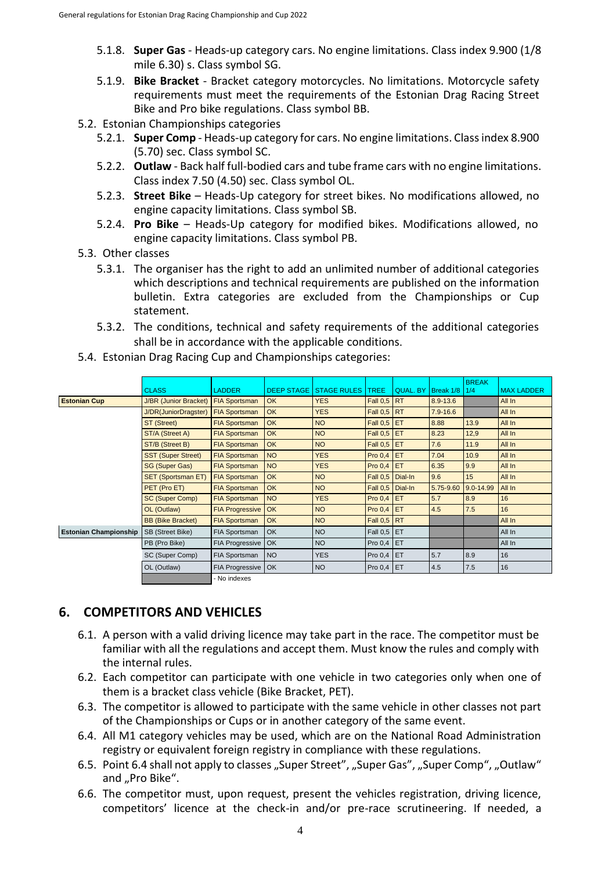- 5.1.8. **Super Gas** Heads-up category cars. No engine limitations. Class index 9.900 (1/8 mile 6.30) s. Class symbol SG.
- 5.1.9. **Bike Bracket** Bracket category motorcycles. No limitations. Motorcycle safety requirements must meet the requirements of the Estonian Drag Racing Street Bike and Pro bike regulations. Class symbol BB.
- 5.2. Estonian Championships categories
	- 5.2.1. **Super Comp** Heads-up category for cars. No engine limitations. Class index 8.900 (5.70) sec. Class symbol SC.
	- 5.2.2. **Outlaw** Back half full-bodied cars and tube frame cars with no engine limitations. Class index 7.50 (4.50) sec. Class symbol OL.
	- 5.2.3. **Street Bike** Heads-Up category for street bikes. No modifications allowed, no engine capacity limitations. Class symbol SB.
	- 5.2.4. **Pro Bike**  Heads-Up category for modified bikes. Modifications allowed, no engine capacity limitations. Class symbol PB.
- 5.3. Other classes
	- 5.3.1. The organiser has the right to add an unlimited number of additional categories which descriptions and technical requirements are published on the information bulletin. Extra categories are excluded from the Championships or Cup statement.
	- 5.3.2. The conditions, technical and safety requirements of the additional categories shall be in accordance with the applicable conditions.
- 5.4. Estonian Drag Racing Cup and Championships categories:

|                              | <b>CLASS</b>                 | <b>LADDER</b>          | <b>DEEP STAGE</b> | <b>STAGE RULES</b> | <b>TREE</b>        | <b>QUAL, BY</b> | Break 1/8    | <b>BREAK</b><br>1/4 | <b>MAX LADDER</b> |
|------------------------------|------------------------------|------------------------|-------------------|--------------------|--------------------|-----------------|--------------|---------------------|-------------------|
| <b>Estonian Cup</b>          | <b>J/BR</b> (Junior Bracket) |                        | <b>OK</b>         | <b>YES</b>         | Fall 0,5 RT        |                 | 8.9-13.6     |                     | All In            |
|                              | J/DR(JuniorDragster)         | <b>FIA Sportsman</b>   | OK                | <b>YES</b>         | <b>Fall 0,5</b>    | <b>RT</b>       | $7.9 - 16.6$ |                     | All In            |
|                              | ST (Street)                  | <b>FIA Sportsman</b>   | OK                | <b>NO</b>          | Fall $0,5$ ET      |                 | 8.88         | 13.9                | All In            |
|                              | ST/A (Street A)              | <b>FIA Sportsman</b>   | <b>OK</b>         | <b>NO</b>          | Fall $0.5$ ET      |                 | 8.23         | 12,9                | All In            |
|                              | ST/B (Street B)              | <b>FIA Sportsman</b>   | <b>OK</b>         | <b>NO</b>          | Fall $0,5$ ET      |                 | 7.6          | 11.9                | All In            |
|                              | <b>SST (Super Street)</b>    | <b>FIA Sportsman</b>   | <b>NO</b>         | <b>YES</b>         | Pro $0,4$ ET       |                 | 7.04         | 10.9                | All In            |
|                              | <b>SG (Super Gas)</b>        | <b>FIA Sportsman</b>   | <b>NO</b>         | <b>YES</b>         | Pro $0,4$ ET       |                 | 6.35         | 9.9                 | All In            |
|                              | <b>SET (Sportsman ET)</b>    | <b>FIA Sportsman</b>   | OK                | <b>NO</b>          | <b>Fall 0.5</b>    | Dial-In         | 9.6          | 15                  | All In            |
|                              | PET (Pro ET)                 | <b>FIA Sportsman</b>   | OK                | <b>NO</b>          | <b>Fall 0.5</b>    | Dial-In         | 5.75-9.60    | 9.0-14.99           | All In            |
|                              | SC (Super Comp)              | <b>FIA Sportsman</b>   | <b>NO</b>         | <b>YES</b>         | Pro $0,4$ ET       |                 | 5.7          | 8.9                 | 16                |
|                              | OL (Outlaw)                  | <b>FIA Progressive</b> | <b>OK</b>         | <b>NO</b>          | Pro $0,4$ ET       |                 | 4.5          | 7.5                 | 16                |
|                              | <b>BB (Bike Bracket)</b>     | <b>FIA Sportsman</b>   | <b>OK</b>         | <b>NO</b>          | <b>Fall 0,5 RT</b> |                 |              |                     | All In            |
| <b>Estonian Championship</b> | SB (Street Bike)             | FIA Sportsman          | <b>OK</b>         | <b>NO</b>          | Fall 0,5 ET        |                 |              |                     | All In            |
|                              | PB (Pro Bike)                | <b>FIA Progressive</b> | <b>OK</b>         | <b>NO</b>          | Pro $0,4$ ET       |                 |              |                     | All In            |
|                              | SC (Super Comp)              | FIA Sportsman          | <b>NO</b>         | <b>YES</b>         | Pro $0,4$ ET       |                 | 5.7          | 8.9                 | 16                |
|                              | OL (Outlaw)                  | FIA Progressive   OK   |                   | <b>NO</b>          | Pro $0,4$ ET       |                 | 4.5          | 7.5                 | 16                |
|                              |                              | - No indexes           |                   |                    |                    |                 |              |                     |                   |

## <span id="page-3-0"></span>**6. COMPETITORS AND VEHICLES**

- 6.1. A person with a valid driving licence may take part in the race. The competitor must be familiar with all the regulations and accept them. Must know the rules and comply with the internal rules.
- 6.2. Each competitor can participate with one vehicle in two categories only when one of them is a bracket class vehicle (Bike Bracket, PET).
- 6.3. The competitor is allowed to participate with the same vehicle in other classes not part of the Championships or Cups or in another category of the same event.
- 6.4. All M1 category vehicles may be used, which are on the National Road Administration registry or equivalent foreign registry in compliance with these regulations.
- 6.5. Point 6.4 shall not apply to classes "Super Street", "Super Gas", "Super Comp", "Outlaw" and "Pro Bike".
- 6.6. The competitor must, upon request, present the vehicles registration, driving licence, competitors' licence at the check-in and/or pre-race scrutineering. If needed, a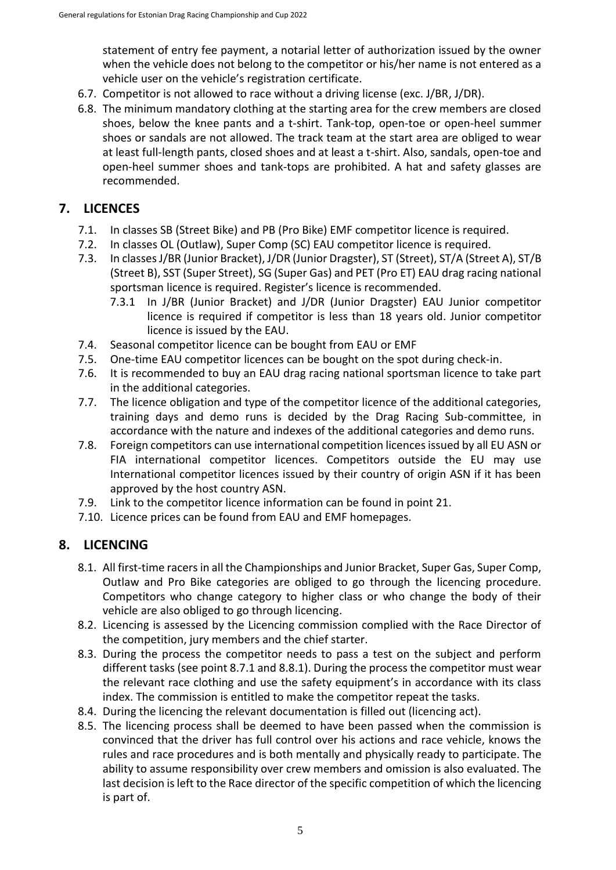statement of entry fee payment, a notarial letter of authorization issued by the owner when the vehicle does not belong to the competitor or his/her name is not entered as a vehicle user on the vehicle's registration certificate.

- 6.7. Competitor is not allowed to race without a driving license (exc. J/BR, J/DR).
- 6.8. The minimum mandatory clothing at the starting area for the crew members are closed shoes, below the knee pants and a t-shirt. Tank-top, open-toe or open-heel summer shoes or sandals are not allowed. The track team at the start area are obliged to wear at least full-length pants, closed shoes and at least a t-shirt. Also, sandals, open-toe and open-heel summer shoes and tank-tops are prohibited. A hat and safety glasses are recommended.

# <span id="page-4-0"></span>**7. LICENCES**

- 7.1. In classes SB (Street Bike) and PB (Pro Bike) EMF competitor licence is required.
- 7.2. In classes OL (Outlaw), Super Comp (SC) EAU competitor licence is required.
- 7.3. In classes J/BR (Junior Bracket), J/DR (Junior Dragster), ST (Street), ST/A (Street A), ST/B (Street B), SST (Super Street), SG (Super Gas) and PET (Pro ET) EAU drag racing national sportsman licence is required. Register's licence is recommended.
	- 7.3.1 In J/BR (Junior Bracket) and J/DR (Junior Dragster) EAU Junior competitor licence is required if competitor is less than 18 years old. Junior competitor licence is issued by the EAU.
- 7.4. Seasonal competitor licence can be bought from EAU or EMF
- 7.5. One-time EAU competitor licences can be bought on the spot during check-in.
- 7.6. It is recommended to buy an EAU drag racing national sportsman licence to take part in the additional categories.
- 7.7. The licence obligation and type of the competitor licence of the additional categories, training days and demo runs is decided by the Drag Racing Sub-committee, in accordance with the nature and indexes of the additional categories and demo runs.
- 7.8. Foreign competitors can use international competition licences issued by all EU ASN or FIA international competitor licences. Competitors outside the EU may use International competitor licences issued by their country of origin ASN if it has been approved by the host country ASN.
- 7.9. Link to the competitor licence information can be found in point 21.
- 7.10. Licence prices can be found from EAU and EMF homepages.

## <span id="page-4-1"></span>**8. LICENCING**

- 8.1. All first-time racers in all the Championships and Junior Bracket, Super Gas, Super Comp, Outlaw and Pro Bike categories are obliged to go through the licencing procedure. Competitors who change category to higher class or who change the body of their vehicle are also obliged to go through licencing.
- 8.2. Licencing is assessed by the Licencing commission complied with the Race Director of the competition, jury members and the chief starter.
- 8.3. During the process the competitor needs to pass a test on the subject and perform different tasks (see point 8.7.1 and 8.8.1). During the process the competitor must wear the relevant race clothing and use the safety equipment's in accordance with its class index. The commission is entitled to make the competitor repeat the tasks.
- 8.4. During the licencing the relevant documentation is filled out (licencing act).
- 8.5. The licencing process shall be deemed to have been passed when the commission is convinced that the driver has full control over his actions and race vehicle, knows the rules and race procedures and is both mentally and physically ready to participate. The ability to assume responsibility over crew members and omission is also evaluated. The last decision is left to the Race director of the specific competition of which the licencing is part of.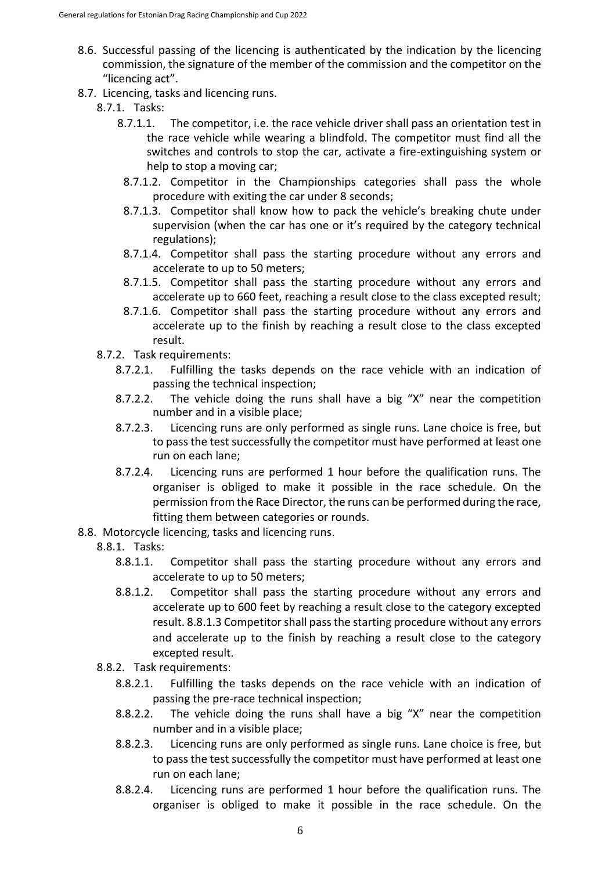- 8.6. Successful passing of the licencing is authenticated by the indication by the licencing commission, the signature of the member of the commission and the competitor on the "licencing act".
- 8.7. Licencing, tasks and licencing runs.
	- 8.7.1. Tasks:
		- 8.7.1.1. The competitor, i.e. the race vehicle driver shall pass an orientation test in the race vehicle while wearing a blindfold. The competitor must find all the switches and controls to stop the car, activate a fire-extinguishing system or help to stop a moving car;
		- 8.7.1.2. Competitor in the Championships categories shall pass the whole procedure with exiting the car under 8 seconds;
		- 8.7.1.3. Competitor shall know how to pack the vehicle's breaking chute under supervision (when the car has one or it's required by the category technical regulations);
		- 8.7.1.4. Competitor shall pass the starting procedure without any errors and accelerate to up to 50 meters;
		- 8.7.1.5. Competitor shall pass the starting procedure without any errors and accelerate up to 660 feet, reaching a result close to the class excepted result;
		- 8.7.1.6. Competitor shall pass the starting procedure without any errors and accelerate up to the finish by reaching a result close to the class excepted result.
	- 8.7.2. Task requirements:
		- 8.7.2.1. Fulfilling the tasks depends on the race vehicle with an indication of passing the technical inspection;
		- 8.7.2.2. The vehicle doing the runs shall have a big "X" near the competition number and in a visible place;
		- 8.7.2.3. Licencing runs are only performed as single runs. Lane choice is free, but to pass the test successfully the competitor must have performed at least one run on each lane;
		- 8.7.2.4. Licencing runs are performed 1 hour before the qualification runs. The organiser is obliged to make it possible in the race schedule. On the permission from the Race Director, the runs can be performed during the race, fitting them between categories or rounds.
- 8.8. Motorcycle licencing, tasks and licencing runs.
	- 8.8.1. Tasks:
		- 8.8.1.1. Competitor shall pass the starting procedure without any errors and accelerate to up to 50 meters;
		- 8.8.1.2. Competitor shall pass the starting procedure without any errors and accelerate up to 600 feet by reaching a result close to the category excepted result. 8.8.1.3 Competitor shall pass the starting procedure without any errors and accelerate up to the finish by reaching a result close to the category excepted result.
	- 8.8.2. Task requirements:
		- 8.8.2.1. Fulfilling the tasks depends on the race vehicle with an indication of passing the pre-race technical inspection;
		- 8.8.2.2. The vehicle doing the runs shall have a big "X" near the competition number and in a visible place;
		- 8.8.2.3. Licencing runs are only performed as single runs. Lane choice is free, but to pass the test successfully the competitor must have performed at least one run on each lane;
		- 8.8.2.4. Licencing runs are performed 1 hour before the qualification runs. The organiser is obliged to make it possible in the race schedule. On the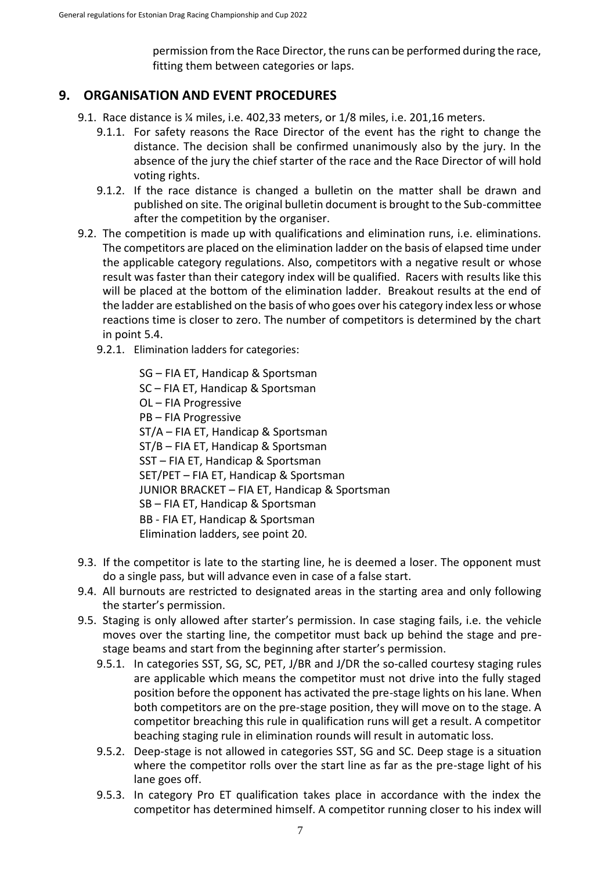permission from the Race Director, the runs can be performed during the race, fitting them between categories or laps.

#### <span id="page-6-0"></span>**9. ORGANISATION AND EVENT PROCEDURES**

- 9.1. Race distance is ¼ miles, i.e. 402,33 meters, or 1/8 miles, i.e. 201,16 meters.
	- 9.1.1. For safety reasons the Race Director of the event has the right to change the distance. The decision shall be confirmed unanimously also by the jury. In the absence of the jury the chief starter of the race and the Race Director of will hold voting rights.
	- 9.1.2. If the race distance is changed a bulletin on the matter shall be drawn and published on site. The original bulletin document is brought to the Sub-committee after the competition by the organiser.
- 9.2. The competition is made up with qualifications and elimination runs, i.e. eliminations. The competitors are placed on the elimination ladder on the basis of elapsed time under the applicable category regulations. Also, competitors with a negative result or whose result was faster than their category index will be qualified. Racers with results like this will be placed at the bottom of the elimination ladder. Breakout results at the end of the ladder are established on the basis of who goes over his category index less or whose reactions time is closer to zero. The number of competitors is determined by the chart in point 5.4.
	- 9.2.1. Elimination ladders for categories:

SG – FIA ET, Handicap & Sportsman SC – FIA ET, Handicap & Sportsman OL – FIA Progressive PB – FIA Progressive ST/A – FIA ET, Handicap & Sportsman ST/B – FIA ET, Handicap & Sportsman SST – FIA ET, Handicap & Sportsman SET/PET – FIA ET, Handicap & Sportsman JUNIOR BRACKET – FIA ET, Handicap & Sportsman SB – FIA ET, Handicap & Sportsman BB - FIA ET, Handicap & Sportsman Elimination ladders, see point 20.

- 9.3. If the competitor is late to the starting line, he is deemed a loser. The opponent must do a single pass, but will advance even in case of a false start.
- 9.4. All burnouts are restricted to designated areas in the starting area and only following the starter's permission.
- 9.5. Staging is only allowed after starter's permission. In case staging fails, i.e. the vehicle moves over the starting line, the competitor must back up behind the stage and prestage beams and start from the beginning after starter's permission.
	- 9.5.1. In categories SST, SG, SC, PET, J/BR and J/DR the so-called courtesy staging rules are applicable which means the competitor must not drive into the fully staged position before the opponent has activated the pre-stage lights on his lane. When both competitors are on the pre-stage position, they will move on to the stage. A competitor breaching this rule in qualification runs will get a result. A competitor beaching staging rule in elimination rounds will result in automatic loss.
	- 9.5.2. Deep-stage is not allowed in categories SST, SG and SC. Deep stage is a situation where the competitor rolls over the start line as far as the pre-stage light of his lane goes off.
	- 9.5.3. In category Pro ET qualification takes place in accordance with the index the competitor has determined himself. A competitor running closer to his index will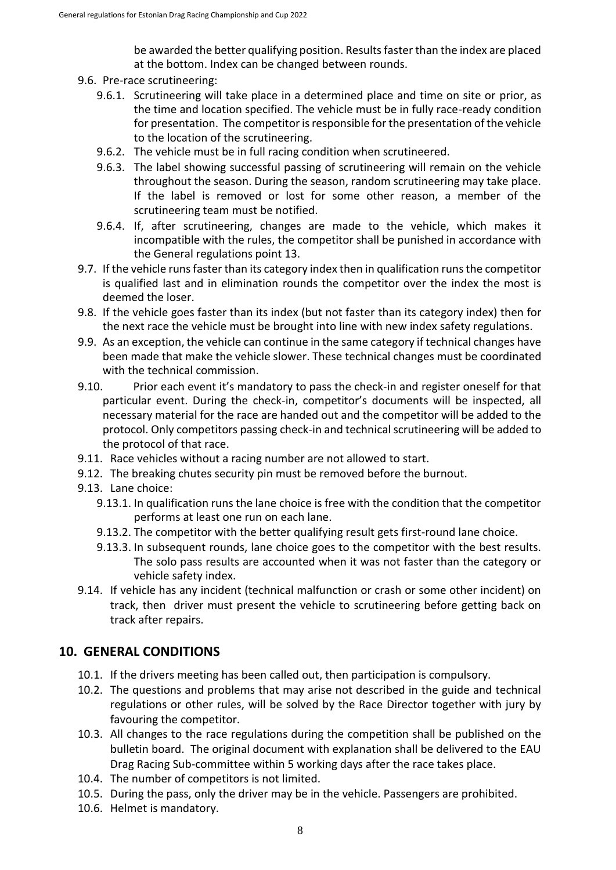be awarded the better qualifying position. Results faster than the index are placed at the bottom. Index can be changed between rounds.

- 9.6. Pre-race scrutineering:
	- 9.6.1. Scrutineering will take place in a determined place and time on site or prior, as the time and location specified. The vehicle must be in fully race-ready condition for presentation. The competitor is responsible for the presentation of the vehicle to the location of the scrutineering.
	- 9.6.2. The vehicle must be in full racing condition when scrutineered.
	- 9.6.3. The label showing successful passing of scrutineering will remain on the vehicle throughout the season. During the season, random scrutineering may take place. If the label is removed or lost for some other reason, a member of the scrutineering team must be notified.
	- 9.6.4. If, after scrutineering, changes are made to the vehicle, which makes it incompatible with the rules, the competitor shall be punished in accordance with the General regulations point 13.
- 9.7. If the vehicle runs faster than its category index then in qualification runs the competitor is qualified last and in elimination rounds the competitor over the index the most is deemed the loser.
- 9.8. If the vehicle goes faster than its index (but not faster than its category index) then for the next race the vehicle must be brought into line with new index safety regulations.
- 9.9. As an exception, the vehicle can continue in the same category if technical changes have been made that make the vehicle slower. These technical changes must be coordinated with the technical commission.
- 9.10. Prior each event it's mandatory to pass the check-in and register oneself for that particular event. During the check-in, competitor's documents will be inspected, all necessary material for the race are handed out and the competitor will be added to the protocol. Only competitors passing check-in and technical scrutineering will be added to the protocol of that race.
- 9.11. Race vehicles without a racing number are not allowed to start.
- 9.12. The breaking chutes security pin must be removed before the burnout.
- 9.13. Lane choice:
	- 9.13.1. In qualification runs the lane choice is free with the condition that the competitor performs at least one run on each lane.
	- 9.13.2. The competitor with the better qualifying result gets first-round lane choice.
	- 9.13.3. In subsequent rounds, lane choice goes to the competitor with the best results. The solo pass results are accounted when it was not faster than the category or vehicle safety index.
- 9.14. If vehicle has any incident (technical malfunction or crash or some other incident) on track, then driver must present the vehicle to scrutineering before getting back on track after repairs.

## <span id="page-7-0"></span>**10. GENERAL CONDITIONS**

- 10.1. If the drivers meeting has been called out, then participation is compulsory.
- 10.2. The questions and problems that may arise not described in the guide and technical regulations or other rules, will be solved by the Race Director together with jury by favouring the competitor.
- 10.3. All changes to the race regulations during the competition shall be published on the bulletin board. The original document with explanation shall be delivered to the EAU Drag Racing Sub-committee within 5 working days after the race takes place.
- 10.4. The number of competitors is not limited.
- 10.5. During the pass, only the driver may be in the vehicle. Passengers are prohibited.
- 10.6. Helmet is mandatory.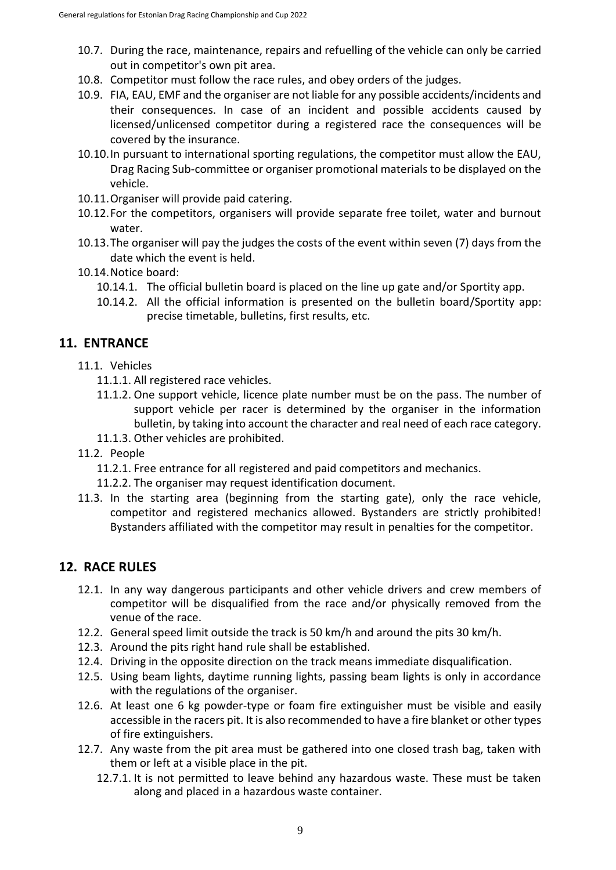- 10.7. During the race, maintenance, repairs and refuelling of the vehicle can only be carried out in competitor's own pit area.
- 10.8. Competitor must follow the race rules, and obey orders of the judges.
- 10.9. FIA, EAU, EMF and the organiser are not liable for any possible accidents/incidents and their consequences. In case of an incident and possible accidents caused by licensed/unlicensed competitor during a registered race the consequences will be covered by the insurance.
- 10.10.In pursuant to international sporting regulations, the competitor must allow the EAU, Drag Racing Sub-committee or organiser promotional materials to be displayed on the vehicle.
- 10.11.Organiser will provide paid catering.
- 10.12.For the competitors, organisers will provide separate free toilet, water and burnout water.
- 10.13.The organiser will pay the judges the costs of the event within seven (7) days from the date which the event is held.
- 10.14.Notice board:
	- 10.14.1. The official bulletin board is placed on the line up gate and/or Sportity app.
	- 10.14.2. All the official information is presented on the bulletin board/Sportity app: precise timetable, bulletins, first results, etc.

# <span id="page-8-0"></span>**11. ENTRANCE**

- 11.1. Vehicles
	- 11.1.1. All registered race vehicles.
	- 11.1.2. One support vehicle, licence plate number must be on the pass. The number of support vehicle per racer is determined by the organiser in the information bulletin, by taking into account the character and real need of each race category.
	- 11.1.3. Other vehicles are prohibited.
- 11.2. People
	- 11.2.1. Free entrance for all registered and paid competitors and mechanics.
	- 11.2.2. The organiser may request identification document.
- 11.3. In the starting area (beginning from the starting gate), only the race vehicle, competitor and registered mechanics allowed. Bystanders are strictly prohibited! Bystanders affiliated with the competitor may result in penalties for the competitor.

## <span id="page-8-1"></span>**12. RACE RULES**

- 12.1. In any way dangerous participants and other vehicle drivers and crew members of competitor will be disqualified from the race and/or physically removed from the venue of the race.
- 12.2. General speed limit outside the track is 50 km/h and around the pits 30 km/h.
- 12.3. Around the pits right hand rule shall be established.
- 12.4. Driving in the opposite direction on the track means immediate disqualification.
- 12.5. Using beam lights, daytime running lights, passing beam lights is only in accordance with the regulations of the organiser.
- 12.6. At least one 6 kg powder-type or foam fire extinguisher must be visible and easily accessible in the racers pit. It is also recommended to have a fire blanket or other types of fire extinguishers.
- 12.7. Any waste from the pit area must be gathered into one closed trash bag, taken with them or left at a visible place in the pit.
	- 12.7.1. It is not permitted to leave behind any hazardous waste. These must be taken along and placed in a hazardous waste container.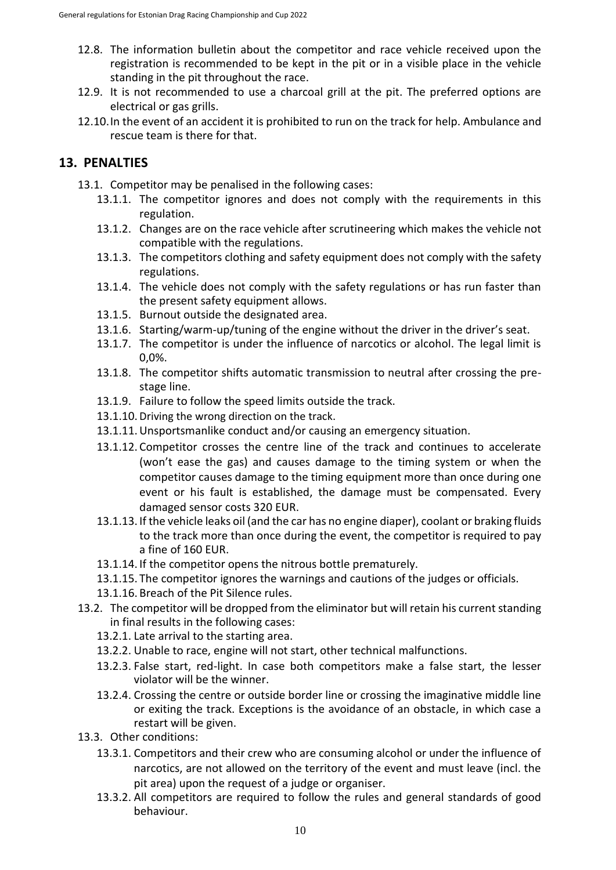- 12.8. The information bulletin about the competitor and race vehicle received upon the registration is recommended to be kept in the pit or in a visible place in the vehicle standing in the pit throughout the race.
- 12.9. It is not recommended to use a charcoal grill at the pit. The preferred options are electrical or gas grills.
- 12.10.In the event of an accident it is prohibited to run on the track for help. Ambulance and rescue team is there for that.

#### <span id="page-9-0"></span>**13. PENALTIES**

- 13.1. Competitor may be penalised in the following cases:
	- 13.1.1. The competitor ignores and does not comply with the requirements in this regulation.
	- 13.1.2. Changes are on the race vehicle after scrutineering which makes the vehicle not compatible with the regulations.
	- 13.1.3. The competitors clothing and safety equipment does not comply with the safety regulations.
	- 13.1.4. The vehicle does not comply with the safety regulations or has run faster than the present safety equipment allows.
	- 13.1.5. Burnout outside the designated area.
	- 13.1.6. Starting/warm-up/tuning of the engine without the driver in the driver's seat.
	- 13.1.7. The competitor is under the influence of narcotics or alcohol. The legal limit is 0,0%.
	- 13.1.8. The competitor shifts automatic transmission to neutral after crossing the prestage line.
	- 13.1.9. Failure to follow the speed limits outside the track.
	- 13.1.10. Driving the wrong direction on the track.
	- 13.1.11.Unsportsmanlike conduct and/or causing an emergency situation.
	- 13.1.12. Competitor crosses the centre line of the track and continues to accelerate (won't ease the gas) and causes damage to the timing system or when the competitor causes damage to the timing equipment more than once during one event or his fault is established, the damage must be compensated. Every damaged sensor costs 320 EUR.
	- 13.1.13. If the vehicle leaks oil (and the car has no engine diaper), coolant or braking fluids to the track more than once during the event, the competitor is required to pay a fine of 160 EUR.
	- 13.1.14. If the competitor opens the nitrous bottle prematurely.
	- 13.1.15. The competitor ignores the warnings and cautions of the judges or officials.
	- 13.1.16. Breach of the Pit Silence rules.
- 13.2. The competitor will be dropped from the eliminator but will retain his current standing in final results in the following cases:
	- 13.2.1. Late arrival to the starting area.
	- 13.2.2. Unable to race, engine will not start, other technical malfunctions.
	- 13.2.3. False start, red-light. In case both competitors make a false start, the lesser violator will be the winner.
	- 13.2.4. Crossing the centre or outside border line or crossing the imaginative middle line or exiting the track. Exceptions is the avoidance of an obstacle, in which case a restart will be given.
- 13.3. Other conditions:
	- 13.3.1. Competitors and their crew who are consuming alcohol or under the influence of narcotics, are not allowed on the territory of the event and must leave (incl. the pit area) upon the request of a judge or organiser.
	- 13.3.2. All competitors are required to follow the rules and general standards of good behaviour.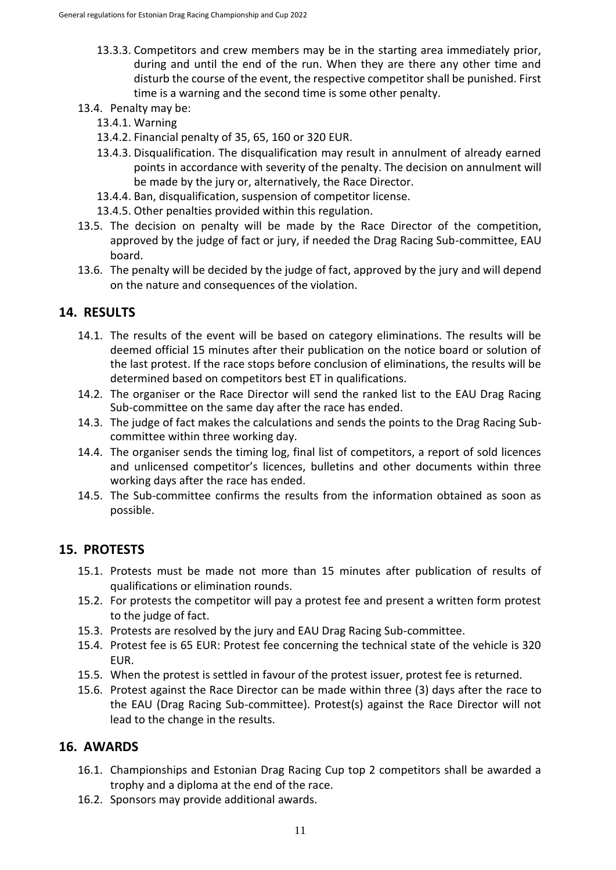- 13.3.3. Competitors and crew members may be in the starting area immediately prior, during and until the end of the run. When they are there any other time and disturb the course of the event, the respective competitor shall be punished. First time is a warning and the second time is some other penalty.
- 13.4. Penalty may be:
	- 13.4.1. Warning
	- 13.4.2. Financial penalty of 35, 65, 160 or 320 EUR.
	- 13.4.3. Disqualification. The disqualification may result in annulment of already earned points in accordance with severity of the penalty. The decision on annulment will be made by the jury or, alternatively, the Race Director.
	- 13.4.4. Ban, disqualification, suspension of competitor license.
	- 13.4.5. Other penalties provided within this regulation.
- 13.5. The decision on penalty will be made by the Race Director of the competition, approved by the judge of fact or jury, if needed the Drag Racing Sub-committee, EAU board.
- 13.6. The penalty will be decided by the judge of fact, approved by the jury and will depend on the nature and consequences of the violation.

#### <span id="page-10-0"></span>**14. RESULTS**

- 14.1. The results of the event will be based on category eliminations. The results will be deemed official 15 minutes after their publication on the notice board or solution of the last protest. If the race stops before conclusion of eliminations, the results will be determined based on competitors best ET in qualifications.
- 14.2. The organiser or the Race Director will send the ranked list to the EAU Drag Racing Sub-committee on the same day after the race has ended.
- 14.3. The judge of fact makes the calculations and sends the points to the Drag Racing Subcommittee within three working day.
- 14.4. The organiser sends the timing log, final list of competitors, a report of sold licences and unlicensed competitor's licences, bulletins and other documents within three working days after the race has ended.
- 14.5. The Sub-committee confirms the results from the information obtained as soon as possible.

## <span id="page-10-1"></span>**15. PROTESTS**

- 15.1. Protests must be made not more than 15 minutes after publication of results of qualifications or elimination rounds.
- 15.2. For protests the competitor will pay a protest fee and present a written form protest to the judge of fact.
- 15.3. Protests are resolved by the jury and EAU Drag Racing Sub-committee.
- 15.4. Protest fee is 65 EUR: Protest fee concerning the technical state of the vehicle is 320 EUR.
- 15.5. When the protest is settled in favour of the protest issuer, protest fee is returned.
- 15.6. Protest against the Race Director can be made within three (3) days after the race to the EAU (Drag Racing Sub-committee). Protest(s) against the Race Director will not lead to the change in the results.

#### <span id="page-10-2"></span>**16. AWARDS**

- 16.1. Championships and Estonian Drag Racing Cup top 2 competitors shall be awarded a trophy and a diploma at the end of the race.
- 16.2. Sponsors may provide additional awards.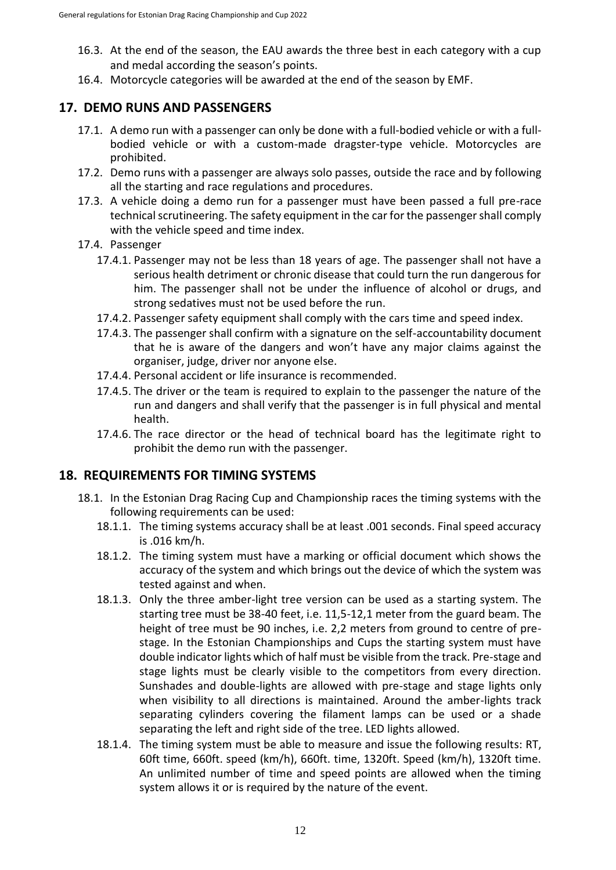- 16.3. At the end of the season, the EAU awards the three best in each category with a cup and medal according the season's points.
- 16.4. Motorcycle categories will be awarded at the end of the season by EMF.

#### <span id="page-11-0"></span>**17. DEMO RUNS AND PASSENGERS**

- 17.1. A demo run with a passenger can only be done with a full-bodied vehicle or with a fullbodied vehicle or with a custom-made dragster-type vehicle. Motorcycles are prohibited.
- 17.2. Demo runs with a passenger are always solo passes, outside the race and by following all the starting and race regulations and procedures.
- 17.3. A vehicle doing a demo run for a passenger must have been passed a full pre-race technical scrutineering. The safety equipment in the car for the passenger shall comply with the vehicle speed and time index.
- 17.4. Passenger
	- 17.4.1. Passenger may not be less than 18 years of age. The passenger shall not have a serious health detriment or chronic disease that could turn the run dangerous for him. The passenger shall not be under the influence of alcohol or drugs, and strong sedatives must not be used before the run.
	- 17.4.2. Passenger safety equipment shall comply with the cars time and speed index.
	- 17.4.3. The passenger shall confirm with a signature on the self-accountability document that he is aware of the dangers and won't have any major claims against the organiser, judge, driver nor anyone else.
	- 17.4.4. Personal accident or life insurance is recommended.
	- 17.4.5. The driver or the team is required to explain to the passenger the nature of the run and dangers and shall verify that the passenger is in full physical and mental health.
	- 17.4.6. The race director or the head of technical board has the legitimate right to prohibit the demo run with the passenger.

## <span id="page-11-1"></span>**18. REQUIREMENTS FOR TIMING SYSTEMS**

- 18.1. In the Estonian Drag Racing Cup and Championship races the timing systems with the following requirements can be used:
	- 18.1.1. The timing systems accuracy shall be at least .001 seconds. Final speed accuracy is .016 km/h.
	- 18.1.2. The timing system must have a marking or official document which shows the accuracy of the system and which brings out the device of which the system was tested against and when.
	- 18.1.3. Only the three amber-light tree version can be used as a starting system. The starting tree must be 38-40 feet, i.e. 11,5-12,1 meter from the guard beam. The height of tree must be 90 inches, i.e. 2,2 meters from ground to centre of prestage. In the Estonian Championships and Cups the starting system must have double indicator lights which of half must be visible from the track. Pre-stage and stage lights must be clearly visible to the competitors from every direction. Sunshades and double-lights are allowed with pre-stage and stage lights only when visibility to all directions is maintained. Around the amber-lights track separating cylinders covering the filament lamps can be used or a shade separating the left and right side of the tree. LED lights allowed.
	- 18.1.4. The timing system must be able to measure and issue the following results: RT, 60ft time, 660ft. speed (km/h), 660ft. time, 1320ft. Speed (km/h), 1320ft time. An unlimited number of time and speed points are allowed when the timing system allows it or is required by the nature of the event.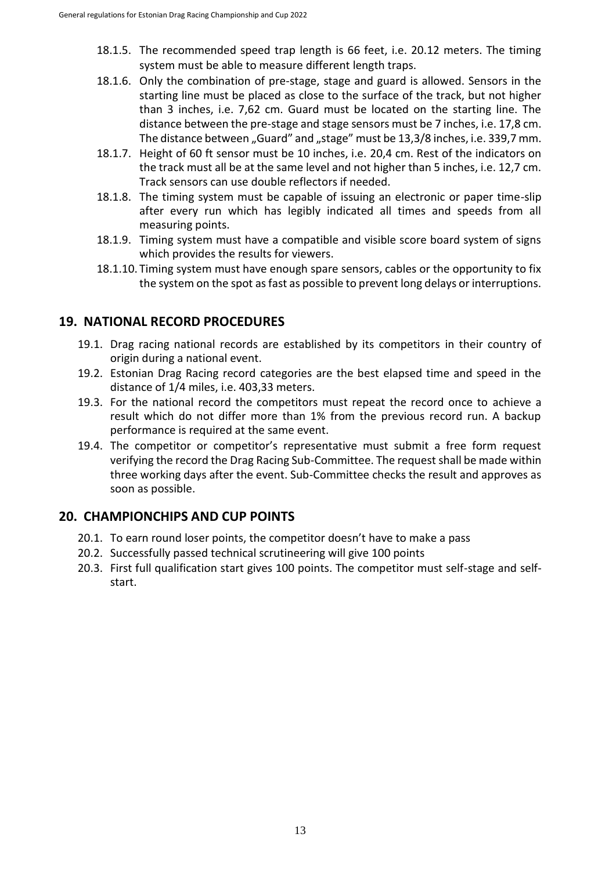- 18.1.5. The recommended speed trap length is 66 feet, i.e. 20.12 meters. The timing system must be able to measure different length traps.
- 18.1.6. Only the combination of pre-stage, stage and guard is allowed. Sensors in the starting line must be placed as close to the surface of the track, but not higher than 3 inches, i.e. 7,62 cm. Guard must be located on the starting line. The distance between the pre-stage and stage sensors must be 7 inches, i.e. 17,8 cm. The distance between "Guard" and "stage" must be 13,3/8 inches, i.e. 339,7 mm.
- 18.1.7. Height of 60 ft sensor must be 10 inches, i.e. 20,4 cm. Rest of the indicators on the track must all be at the same level and not higher than 5 inches, i.e. 12,7 cm. Track sensors can use double reflectors if needed.
- 18.1.8. The timing system must be capable of issuing an electronic or paper time-slip after every run which has legibly indicated all times and speeds from all measuring points.
- 18.1.9. Timing system must have a compatible and visible score board system of signs which provides the results for viewers.
- 18.1.10. Timing system must have enough spare sensors, cables or the opportunity to fix the system on the spot as fast as possible to prevent long delays or interruptions.

## <span id="page-12-0"></span>**19. NATIONAL RECORD PROCEDURES**

- 19.1. Drag racing national records are established by its competitors in their country of origin during a national event.
- 19.2. Estonian Drag Racing record categories are the best elapsed time and speed in the distance of 1/4 miles, i.e. 403,33 meters.
- 19.3. For the national record the competitors must repeat the record once to achieve a result which do not differ more than 1% from the previous record run. A backup performance is required at the same event.
- 19.4. The competitor or competitor's representative must submit a free form request verifying the record the Drag Racing Sub-Committee. The request shall be made within three working days after the event. Sub-Committee checks the result and approves as soon as possible.

# <span id="page-12-1"></span>**20. CHAMPIONCHIPS AND CUP POINTS**

- 20.1. To earn round loser points, the competitor doesn't have to make a pass
- 20.2. Successfully passed technical scrutineering will give 100 points
- 20.3. First full qualification start gives 100 points. The competitor must self-stage and selfstart.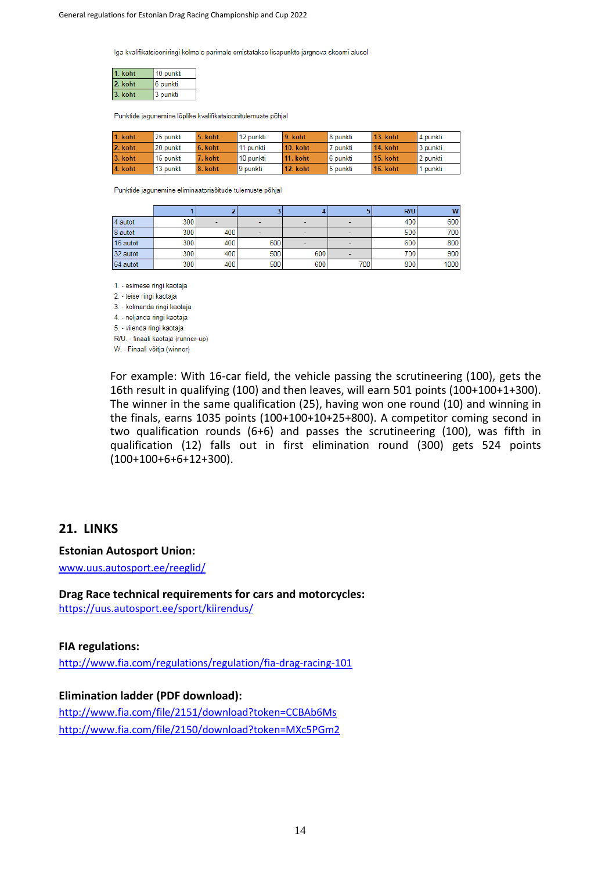Iga kvalifikatsiooniringi kolmele parimale omistatakse lisapunkte järgneva skeemi alusel

| . koht  | 10 punkti |  |  |  |
|---------|-----------|--|--|--|
| 2. koht | 6 punkti  |  |  |  |
| 3. koht | 3 punkti  |  |  |  |

Punktide jagunemine lõplike kvalifikatsioonitulemuste põhjal

| 1. koht | 25 punkti | 5. koht | 12 punkti | 9. koht         | l 8 punkti | 13. koht        | 4 punkti |
|---------|-----------|---------|-----------|-----------------|------------|-----------------|----------|
| 2. koht | 20 punkti | 6. koht | 11 punkti | 10. koht        | 7 punkti   | <b>14. koht</b> | 3 punkti |
| 3. koht | 15 punkti | 7. koht | 10 punkti | <b>11. koht</b> | l 6 punkti | 15. koht        | 2 punkti |
| 4. koht | 13 punkti | 8. koht | 9 punkti  | 12. koht        | 5 punkti   | 16. koht        | punkti   |

Punktide jagunemine eliminaatorisõitude tulemuste põhjal

|          |     |     |     |                          |     | R/U | W     |
|----------|-----|-----|-----|--------------------------|-----|-----|-------|
| 4 autot  | 300 |     | -   | $\overline{\phantom{0}}$ |     | 400 | 600   |
| 8 autot  | 300 | 400 | ۰   | $\overline{\phantom{a}}$ |     | 500 | 700 l |
| 16 autot | 300 | 400 | 500 |                          |     | 600 | 800   |
| 32 autot | 300 | 400 | 500 | 600                      |     | 700 | 900   |
| 64 autot | 300 | 400 | 500 | 600                      | 700 | 800 | 1000  |

1. - esimese ringi kaotaja

2. - teise ringi kaotaja

3. - kolmanda ringi kaotaja

4. - neljanda ringi kaotaja

5. - viienda ringi kaotaja

R/U. - finaali kaotaja (runner-up)

W. - Finaali võitja (winner)

For example: With 16-car field, the vehicle passing the scrutineering (100), gets the 16th result in qualifying (100) and then leaves, will earn 501 points (100+100+1+300). The winner in the same qualification (25), having won one round (10) and winning in the finals, earns 1035 points (100+100+10+25+800). A competitor coming second in two qualification rounds (6+6) and passes the scrutineering (100), was fifth in qualification (12) falls out in first elimination round (300) gets 524 points (100+100+6+6+12+300).

#### <span id="page-13-0"></span>**21. LINKS**

**Estonian Autosport Union:**

[www.uus.autosport.ee/reeglid/](http://www.uus.autosport.ee/reeglid/)

**Drag Race technical requirements for cars and motorcycles:**

<https://uus.autosport.ee/sport/kiirendus/>

#### **FIA regulations:**

<http://www.fia.com/regulations/regulation/fia-drag-racing-101>

#### **Elimination ladder (PDF download):**

<http://www.fia.com/file/2151/download?token=CCBAb6Ms> <http://www.fia.com/file/2150/download?token=MXc5PGm2>